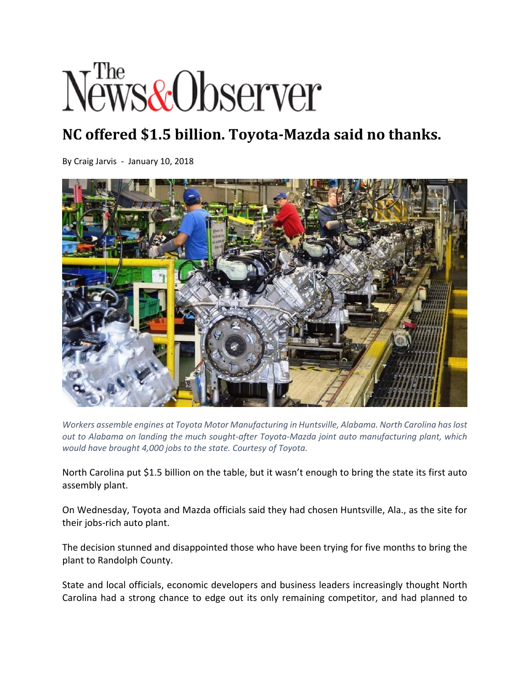## *<u>Fhe</u>*<br>Jews&Observer

## **NC offered \$1.5 billion. Toyota‐Mazda said no thanks.**

By Craig Jarvis ‐ January 10, 2018



*Workers assemble engines at Toyota Motor Manufacturing in Huntsville, Alabama. North Carolina haslost out to Alabama on landing the much sought‐after Toyota‐Mazda joint auto manufacturing plant, which would have brought 4,000 jobs to the state. Courtesy of Toyota.*

North Carolina put \$1.5 billion on the table, but it wasn't enough to bring the state its first auto assembly plant.

On Wednesday, Toyota and Mazda officials said they had chosen Huntsville, Ala., as the site for their jobs‐rich auto plant.

The decision stunned and disappointed those who have been trying for five months to bring the plant to Randolph County.

State and local officials, economic developers and business leaders increasingly thought North Carolina had a strong chance to edge out its only remaining competitor, and had planned to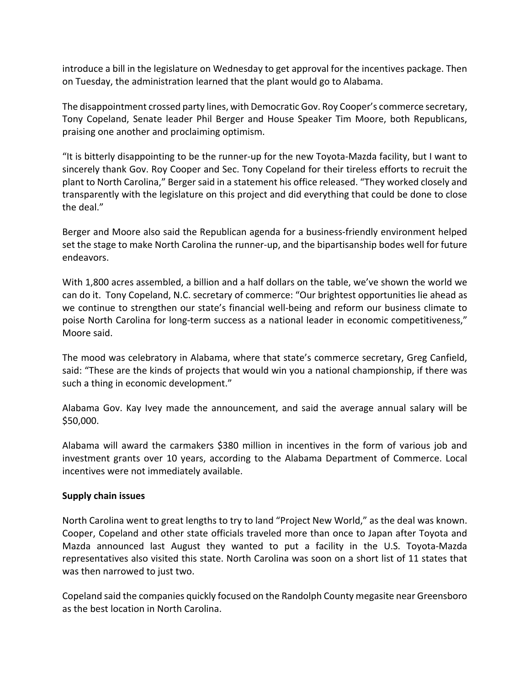introduce a bill in the legislature on Wednesday to get approval for the incentives package. Then on Tuesday, the administration learned that the plant would go to Alabama.

The disappointment crossed party lines, with Democratic Gov. Roy Cooper's commerce secretary, Tony Copeland, Senate leader Phil Berger and House Speaker Tim Moore, both Republicans, praising one another and proclaiming optimism.

"It is bitterly disappointing to be the runner‐up for the new Toyota‐Mazda facility, but I want to sincerely thank Gov. Roy Cooper and Sec. Tony Copeland for their tireless efforts to recruit the plant to North Carolina," Berger said in a statement his office released. "They worked closely and transparently with the legislature on this project and did everything that could be done to close the deal."

Berger and Moore also said the Republican agenda for a business-friendly environment helped set the stage to make North Carolina the runner‐up, and the bipartisanship bodes well for future endeavors.

With 1,800 acres assembled, a billion and a half dollars on the table, we've shown the world we can do it. Tony Copeland, N.C. secretary of commerce: "Our brightest opportunities lie ahead as we continue to strengthen our state's financial well‐being and reform our business climate to poise North Carolina for long‐term success as a national leader in economic competitiveness," Moore said.

The mood was celebratory in Alabama, where that state's commerce secretary, Greg Canfield, said: "These are the kinds of projects that would win you a national championship, if there was such a thing in economic development."

Alabama Gov. Kay Ivey made the announcement, and said the average annual salary will be \$50,000.

Alabama will award the carmakers \$380 million in incentives in the form of various job and investment grants over 10 years, according to the Alabama Department of Commerce. Local incentives were not immediately available.

## **Supply chain issues**

North Carolina went to great lengths to try to land "Project New World," as the deal was known. Cooper, Copeland and other state officials traveled more than once to Japan after Toyota and Mazda announced last August they wanted to put a facility in the U.S. Toyota‐Mazda representatives also visited this state. North Carolina was soon on a short list of 11 states that was then narrowed to just two.

Copeland said the companies quickly focused on the Randolph County megasite near Greensboro as the best location in North Carolina.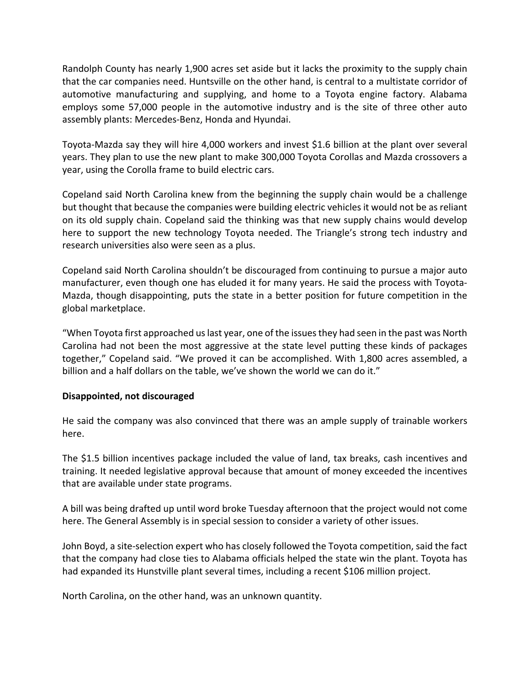Randolph County has nearly 1,900 acres set aside but it lacks the proximity to the supply chain that the car companies need. Huntsville on the other hand, is central to a multistate corridor of automotive manufacturing and supplying, and home to a Toyota engine factory. Alabama employs some 57,000 people in the automotive industry and is the site of three other auto assembly plants: Mercedes‐Benz, Honda and Hyundai.

Toyota‐Mazda say they will hire 4,000 workers and invest \$1.6 billion at the plant over several years. They plan to use the new plant to make 300,000 Toyota Corollas and Mazda crossovers a year, using the Corolla frame to build electric cars.

Copeland said North Carolina knew from the beginning the supply chain would be a challenge but thought that because the companies were building electric vehicles it would not be as reliant on its old supply chain. Copeland said the thinking was that new supply chains would develop here to support the new technology Toyota needed. The Triangle's strong tech industry and research universities also were seen as a plus.

Copeland said North Carolina shouldn't be discouraged from continuing to pursue a major auto manufacturer, even though one has eluded it for many years. He said the process with Toyota‐ Mazda, though disappointing, puts the state in a better position for future competition in the global marketplace.

"When Toyota first approached us last year, one of the issues they had seen in the past was North Carolina had not been the most aggressive at the state level putting these kinds of packages together," Copeland said. "We proved it can be accomplished. With 1,800 acres assembled, a billion and a half dollars on the table, we've shown the world we can do it."

## **Disappointed, not discouraged**

He said the company was also convinced that there was an ample supply of trainable workers here.

The \$1.5 billion incentives package included the value of land, tax breaks, cash incentives and training. It needed legislative approval because that amount of money exceeded the incentives that are available under state programs.

A bill was being drafted up until word broke Tuesday afternoon that the project would not come here. The General Assembly is in special session to consider a variety of other issues.

John Boyd, a site‐selection expert who has closely followed the Toyota competition, said the fact that the company had close ties to Alabama officials helped the state win the plant. Toyota has had expanded its Hunstville plant several times, including a recent \$106 million project.

North Carolina, on the other hand, was an unknown quantity.